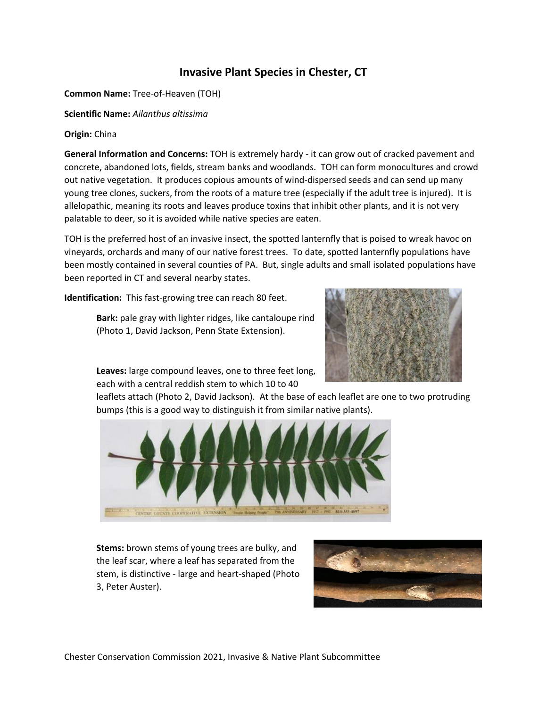## **Invasive Plant Species in Chester, CT**

**Common Name:** Tree-of-Heaven (TOH)

**Scientific Name:** *Ailanthus altissima*

## **Origin:** China

**General Information and Concerns:** TOH is extremely hardy - it can grow out of cracked pavement and concrete, abandoned lots, fields, stream banks and woodlands. TOH can form monocultures and crowd out native vegetation. It produces copious amounts of wind-dispersed seeds and can send up many young tree clones, suckers, from the roots of a mature tree (especially if the adult tree is injured). It is allelopathic, meaning its roots and leaves produce toxins that inhibit other plants, and it is not very palatable to deer, so it is avoided while native species are eaten.

TOH is the preferred host of an invasive insect, the spotted lanternfly that is poised to wreak havoc on vineyards, orchards and many of our native forest trees. To date, spotted lanternfly populations have been mostly contained in several counties of PA. But, single adults and small isolated populations have been reported in CT and several nearby states.

**Identification:** This fast-growing tree can reach 80 feet.

**Bark:** pale gray with lighter ridges, like cantaloupe rind (Photo 1, David Jackson, Penn State Extension).



**Leaves:** large compound leaves, one to three feet long, each with a central reddish stem to which 10 to 40

leaflets attach (Photo 2, David Jackson). At the base of each leaflet are one to two protruding bumps (this is a good way to distinguish it from similar native plants).



**Stems:** brown stems of young trees are bulky, and the leaf scar, where a leaf has separated from the stem, is distinctive - large and heart-shaped (Photo 3, Peter Auster).